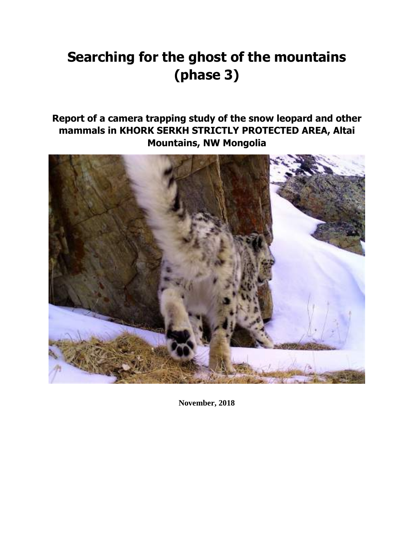# **Searching for the ghost of the mountains (phase 3)**

# **Report of a camera trapping study of the snow leopard and other mammals in KHORK SERKH STRICTLY PROTECTED AREA, Altai Mountains, NW Mongolia**



**November, 2018**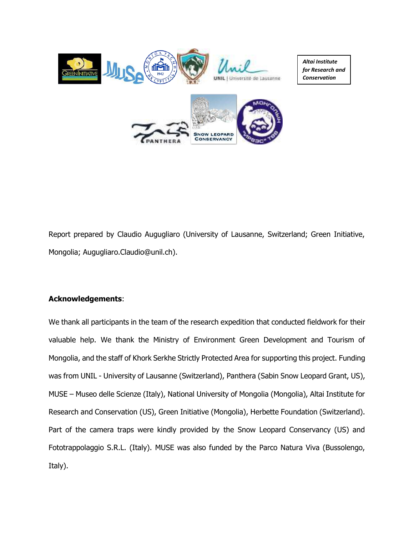

Report prepared by Claudio Augugliaro (University of Lausanne, Switzerland; Green Initiative, Mongolia; Augugliaro.Claudio@unil.ch).

## **Acknowledgements**:

We thank all participants in the team of the research expedition that conducted fieldwork for their valuable help. We thank the Ministry of Environment Green Development and Tourism of Mongolia, and the staff of Khork Serkhe Strictly Protected Area for supporting this project. Funding was from UNIL - University of Lausanne (Switzerland), Panthera (Sabin Snow Leopard Grant, US), MUSE – Museo delle Scienze (Italy), National University of Mongolia (Mongolia), Altai Institute for Research and Conservation (US), Green Initiative (Mongolia), Herbette Foundation (Switzerland). Part of the camera traps were kindly provided by the Snow Leopard Conservancy (US) and Fototrappolaggio S.R.L. (Italy). MUSE was also funded by the Parco Natura Viva (Bussolengo, Italy).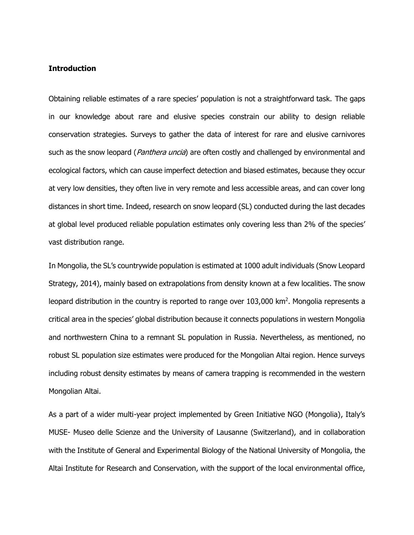## **Introduction**

Obtaining reliable estimates of a rare species' population is not a straightforward task. The gaps in our knowledge about rare and elusive species constrain our ability to design reliable conservation strategies. Surveys to gather the data of interest for rare and elusive carnivores such as the snow leopard (*Panthera uncia*) are often costly and challenged by environmental and ecological factors, which can cause imperfect detection and biased estimates, because they occur at very low densities, they often live in very remote and less accessible areas, and can cover long distances in short time. Indeed, research on snow leopard (SL) conducted during the last decades at global level produced reliable population estimates only covering less than 2% of the species' vast distribution range.

In Mongolia, the SL's countrywide population is estimated at 1000 adult individuals (Snow Leopard Strategy, 2014), mainly based on extrapolations from density known at a few localities. The snow leopard distribution in the country is reported to range over 103,000 km<sup>2</sup>. Mongolia represents a critical area in the species' global distribution because it connects populations in western Mongolia and northwestern China to a remnant SL population in Russia. Nevertheless, as mentioned, no robust SL population size estimates were produced for the Mongolian Altai region. Hence surveys including robust density estimates by means of camera trapping is recommended in the western Mongolian Altai.

As a part of a wider multi-year project implemented by Green Initiative NGO (Mongolia), Italy's MUSE- Museo delle Scienze and the University of Lausanne (Switzerland), and in collaboration with the Institute of General and Experimental Biology of the National University of Mongolia, the Altai Institute for Research and Conservation, with the support of the local environmental office,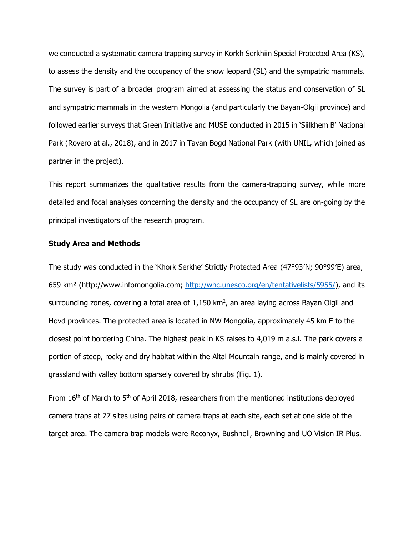we conducted a systematic camera trapping survey in Korkh Serkhiin Special Protected Area (KS), to assess the density and the occupancy of the snow leopard (SL) and the sympatric mammals. The survey is part of a broader program aimed at assessing the status and conservation of SL and sympatric mammals in the western Mongolia (and particularly the Bayan-Olgii province) and followed earlier surveys that Green Initiative and MUSE conducted in 2015 in 'Siilkhem B' National Park (Rovero at al., 2018), and in 2017 in Tavan Bogd National Park (with UNIL, which joined as partner in the project).

This report summarizes the qualitative results from the camera-trapping survey, while more detailed and focal analyses concerning the density and the occupancy of SL are on-going by the principal investigators of the research program.

#### **Study Area and Methods**

The study was conducted in the 'Khork Serkhe' Strictly Protected Area (47°93′N; 90°99′E) area, 659 km² (http://www.infomongolia.com; [http://whc.unesco.org/en/tentativelists/5955/\)](http://whc.unesco.org/en/tentativelists/5955/), and its surrounding zones, covering a total area of 1,150 km<sup>2</sup>, an area laying across Bayan Olgii and Hovd provinces. The protected area is located in NW Mongolia, approximately 45 km E to the closest point bordering China. The highest peak in KS raises to 4,019 m a.s.l. The park covers a portion of steep, rocky and dry habitat within the Altai Mountain range, and is mainly covered in grassland with valley bottom sparsely covered by shrubs (Fig. 1).

From  $16<sup>th</sup>$  of March to  $5<sup>th</sup>$  of April 2018, researchers from the mentioned institutions deployed camera traps at 77 sites using pairs of camera traps at each site, each set at one side of the target area. The camera trap models were Reconyx, Bushnell, Browning and UO Vision IR Plus.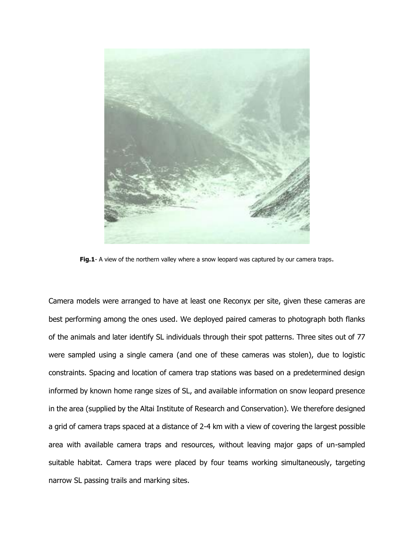

**Fig.1**- A view of the northern valley where a snow leopard was captured by our camera traps.

Camera models were arranged to have at least one Reconyx per site, given these cameras are best performing among the ones used. We deployed paired cameras to photograph both flanks of the animals and later identify SL individuals through their spot patterns. Three sites out of 77 were sampled using a single camera (and one of these cameras was stolen), due to logistic constraints. Spacing and location of camera trap stations was based on a predetermined design informed by known home range sizes of SL, and available information on snow leopard presence in the area (supplied by the Altai Institute of Research and Conservation). We therefore designed a grid of camera traps spaced at a distance of 2-4 km with a view of covering the largest possible area with available camera traps and resources, without leaving major gaps of un-sampled suitable habitat. Camera traps were placed by four teams working simultaneously, targeting narrow SL passing trails and marking sites.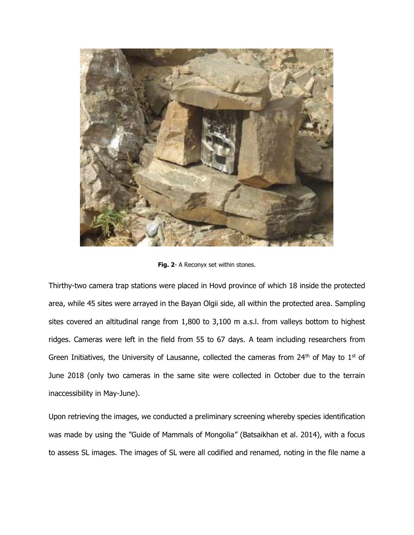

Fig. 2- A Reconyx set within stones.

Thirthy-two camera trap stations were placed in Hovd province of which 18 inside the protected area, while 45 sites were arrayed in the Bayan Olgii side, all within the protected area. Sampling sites covered an altitudinal range from 1,800 to 3,100 m a.s.l. from valleys bottom to highest ridges. Cameras were left in the field from 55 to 67 days. A team including researchers from Green Initiatives, the University of Lausanne, collected the cameras from 24<sup>th</sup> of May to 1<sup>st</sup> of June 2018 (only two cameras in the same site were collected in October due to the terrain inaccessibility in May-June).

Upon retrieving the images, we conducted a preliminary screening whereby species identification was made by using the "Guide of Mammals of Mongolia" (Batsaikhan et al. 2014), with a focus to assess SL images. The images of SL were all codified and renamed, noting in the file name a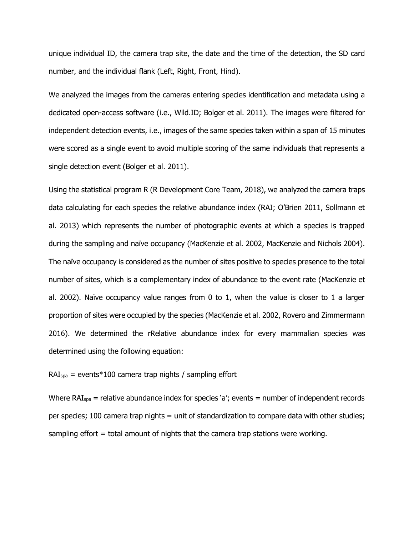unique individual ID, the camera trap site, the date and the time of the detection, the SD card number, and the individual flank (Left, Right, Front, Hind).

We analyzed the images from the cameras entering species identification and metadata using a dedicated open-access software (i.e., Wild.ID; Bolger et al. 2011). The images were filtered for independent detection events, i.e., images of the same species taken within a span of 15 minutes were scored as a single event to avoid multiple scoring of the same individuals that represents a single detection event (Bolger et al. 2011).

Using the statistical program R (R Development Core Team, 2018), we analyzed the camera traps data calculating for each species the relative abundance index (RAI; O'Brien 2011, Sollmann et al. 2013) which represents the number of photographic events at which a species is trapped during the sampling and naïve occupancy (MacKenzie et al. 2002, MacKenzie and Nichols 2004). The naïve occupancy is considered as the number of sites positive to species presence to the total number of sites, which is a complementary index of abundance to the event rate (MacKenzie et al. 2002). Naïve occupancy value ranges from 0 to 1, when the value is closer to 1 a larger proportion of sites were occupied by the species (MacKenzie et al. 2002, Rovero and Zimmermann 2016). We determined the rRelative abundance index for every mammalian species was determined using the following equation:

 $RAI<sub>spa</sub>$  = events\*100 camera trap nights / sampling effort

Where RAI<sub>spa</sub> = relative abundance index for species 'a'; events = number of independent records per species; 100 camera trap nights = unit of standardization to compare data with other studies; sampling effort = total amount of nights that the camera trap stations were working.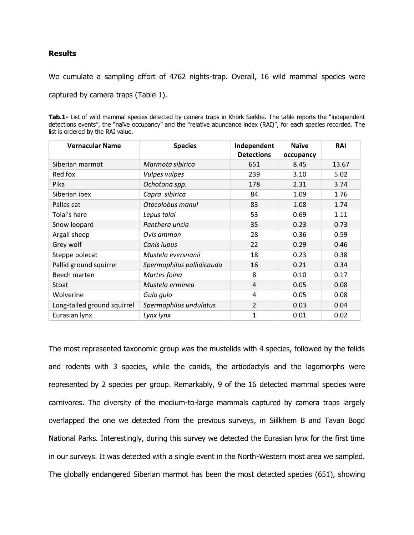## **Results**

We cumulate a sampling effort of 4762 nights-trap. Overall, 16 wild mammal species were

captured by camera traps (Table 1).

**Tab.1-** List of wild mammal species detected by camera traps in Khork Serkhe. The table reports the "independent detections events", the "naïve occupancy" and the "relative abundance index (RAI)", for each species recorded. The list is ordered by the RAI value.

| <b>Vernacular Name</b>      | <b>Species</b>            | Independent<br><b>Detections</b> | <b>Naïve</b><br>occupancy | RAI   |
|-----------------------------|---------------------------|----------------------------------|---------------------------|-------|
| Siberian marmot             | Marmota sibirica          | 651                              | 8.45                      | 13.67 |
| Red fox                     | Vulpes vulpes             | 239                              | 3.10                      | 5.02  |
| Pika                        | Ochotona spp.             | 178                              | 2.31                      | 3.74  |
| Siberian ibex               | Capra sibirica            | 84                               | 1.09                      | 1.76  |
| Pallas cat                  | Otocolobus manul          | 83                               | 1.08                      | 1.74  |
| Tolai's hare                | Lepus tolai               | 53                               | 0.69                      | 1.11  |
| Snow leopard                | Panthera uncia            | 35                               | 0.23                      | 0.73  |
| Argali sheep                | Ovis ammon                | 28                               | 0.36                      | 0.59  |
| Grey wolf                   | Canis lupus               | 22                               | 0.29                      | 0.46  |
| Steppe polecat              | Mustela eversnanii        | 18                               | 0.23                      | 0.38  |
| Pallid ground squirrel      | Spermophilus pallidicauda | 16                               | 0.21                      | 0.34  |
| Beech marten                | Martes foina              | 8                                | 0.10                      | 0.17  |
| Stoat                       | Mustela erminea           | 4                                | 0.05                      | 0.08  |
| Wolverine                   | Gulo gulo                 | 4                                | 0.05                      | 0.08  |
| Long-tailed ground squirrel | Spermophilus undulatus    | $\overline{2}$                   | 0.03                      | 0.04  |
| Eurasian lynx               | Lynx lynx                 | 1                                | 0.01                      | 0.02  |

The most represented taxonomic group was the mustelids with 4 species, followed by the felids and rodents with 3 species, while the canids, the artiodactyls and the lagomorphs were represented by 2 species per group. Remarkably, 9 of the 16 detected mammal species were carnivores. The diversity of the medium-to-large mammals captured by camera traps largely overlapped the one we detected from the previous surveys, in Siilkhem B and Tavan Bogd National Parks. Interestingly, during this survey we detected the Eurasian lynx for the first time in our surveys. It was detected with a single event in the North-Western most area we sampled. The globally endangered Siberian marmot has been the most detected species (651), showing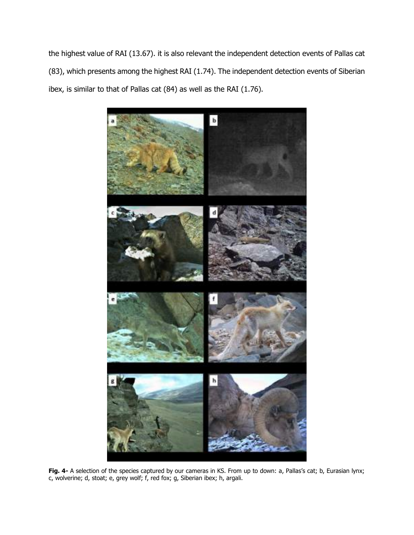the highest value of RAI (13.67). it is also relevant the independent detection events of Pallas cat (83), which presents among the highest RAI (1.74). The independent detection events of Siberian ibex, is similar to that of Pallas cat (84) as well as the RAI (1.76).



**Fig. 4-** A selection of the species captured by our cameras in KS. From up to down: a, Pallas's cat; b, Eurasian lynx; c, wolverine; d, stoat; e, grey wolf; f, red fox; g, Siberian ibex; h, argali.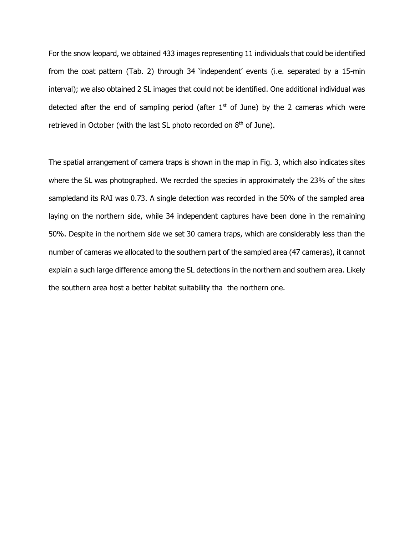For the snow leopard, we obtained 433 images representing 11 individuals that could be identified from the coat pattern (Tab. 2) through 34 'independent' events (i.e. separated by a 15-min interval); we also obtained 2 SL images that could not be identified. One additional individual was detected after the end of sampling period (after  $1<sup>st</sup>$  of June) by the 2 cameras which were retrieved in October (with the last SL photo recorded on  $8<sup>th</sup>$  of June).

The spatial arrangement of camera traps is shown in the map in Fig. 3, which also indicates sites where the SL was photographed. We recrded the species in approximately the 23% of the sites sampledand its RAI was 0.73. A single detection was recorded in the 50% of the sampled area laying on the northern side, while 34 independent captures have been done in the remaining 50%. Despite in the northern side we set 30 camera traps, which are considerably less than the number of cameras we allocated to the southern part of the sampled area (47 cameras), it cannot explain a such large difference among the SL detections in the northern and southern area. Likely the southern area host a better habitat suitability tha the northern one.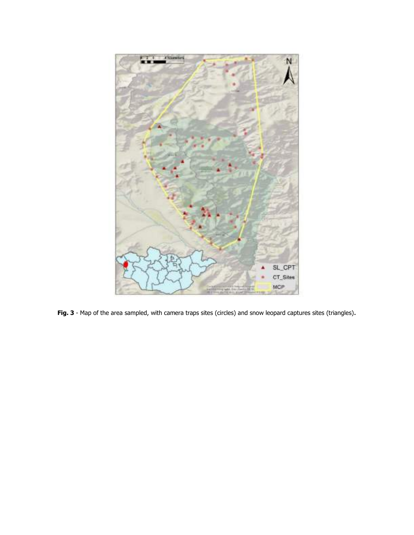

Fig. 3 - Map of the area sampled, with camera traps sites (circles) and snow leopard captures sites (triangles).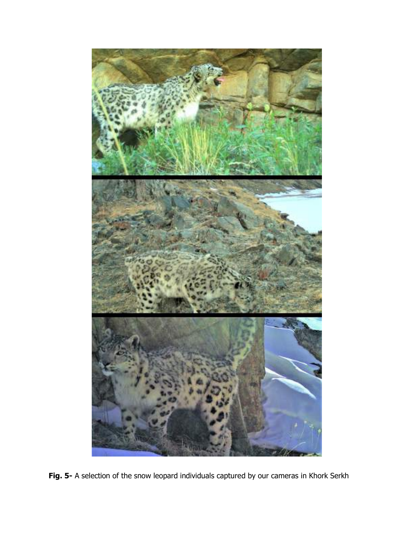

**Fig. 5-** A selection of the snow leopard individuals captured by our cameras in Khork Serkh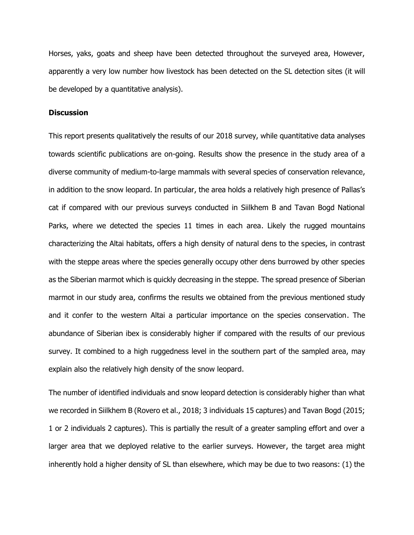Horses, yaks, goats and sheep have been detected throughout the surveyed area, However, apparently a very low number how livestock has been detected on the SL detection sites (it will be developed by a quantitative analysis).

#### **Discussion**

This report presents qualitatively the results of our 2018 survey, while quantitative data analyses towards scientific publications are on-going. Results show the presence in the study area of a diverse community of medium-to-large mammals with several species of conservation relevance, in addition to the snow leopard. In particular, the area holds a relatively high presence of Pallas's cat if compared with our previous surveys conducted in Siilkhem B and Tavan Bogd National Parks, where we detected the species 11 times in each area. Likely the rugged mountains characterizing the Altai habitats, offers a high density of natural dens to the species, in contrast with the steppe areas where the species generally occupy other dens burrowed by other species as the Siberian marmot which is quickly decreasing in the steppe. The spread presence of Siberian marmot in our study area, confirms the results we obtained from the previous mentioned study and it confer to the western Altai a particular importance on the species conservation. The abundance of Siberian ibex is considerably higher if compared with the results of our previous survey. It combined to a high ruggedness level in the southern part of the sampled area, may explain also the relatively high density of the snow leopard.

The number of identified individuals and snow leopard detection is considerably higher than what we recorded in Siilkhem B (Rovero et al., 2018; 3 individuals 15 captures) and Tavan Bogd (2015; 1 or 2 individuals 2 captures). This is partially the result of a greater sampling effort and over a larger area that we deployed relative to the earlier surveys. However, the target area might inherently hold a higher density of SL than elsewhere, which may be due to two reasons: (1) the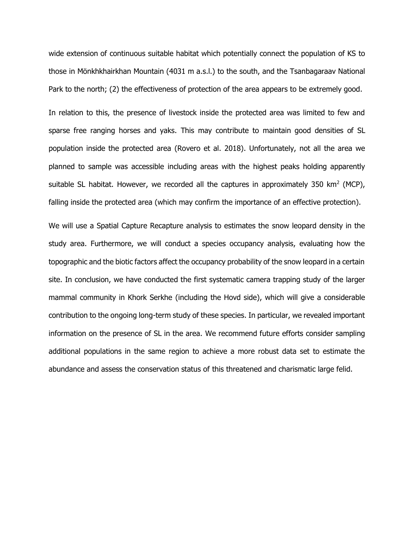wide extension of continuous suitable habitat which potentially connect the population of KS to those in Mönkhkhairkhan Mountain (4031 m a.s.l.) to the south, and the Tsanbagaraav National Park to the north; (2) the effectiveness of protection of the area appears to be extremely good.

In relation to this, the presence of livestock inside the protected area was limited to few and sparse free ranging horses and yaks. This may contribute to maintain good densities of SL population inside the protected area (Rovero et al. 2018). Unfortunately, not all the area we planned to sample was accessible including areas with the highest peaks holding apparently suitable SL habitat. However, we recorded all the captures in approximately 350 km<sup>2</sup> (MCP), falling inside the protected area (which may confirm the importance of an effective protection).

We will use a Spatial Capture Recapture analysis to estimates the snow leopard density in the study area. Furthermore, we will conduct a species occupancy analysis, evaluating how the topographic and the biotic factors affect the occupancy probability of the snow leopard in a certain site. In conclusion, we have conducted the first systematic camera trapping study of the larger mammal community in Khork Serkhe (including the Hovd side), which will give a considerable contribution to the ongoing long-term study of these species. In particular, we revealed important information on the presence of SL in the area. We recommend future efforts consider sampling additional populations in the same region to achieve a more robust data set to estimate the abundance and assess the conservation status of this threatened and charismatic large felid.